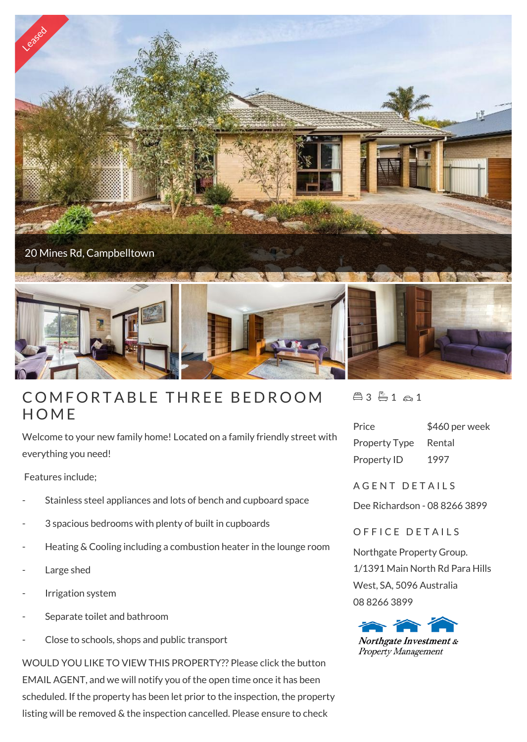

## **COMFOR**<br>HOME

Welcome to your new family home! Located on a family friendly street with everything you need!

Features include;

- Stainless steel appliances and lots of bench and cupboard space
- 3 spacious bedrooms with plenty of built in cupboards
- Heating & Cooling including a combustion heater in the lounge room
- Large shed
- Irrigation system
- Separate toilet and bathroom
- Close to schools, shops and public transport

WOULD YOU LIKE TO VIEW THIS PROPERTY?? Please click the button EMAIL AGENT, and we will notify you of the open time once it has been scheduled. If the property has been let prior to the inspection, the property listing will be removed & the inspection cancelled. Please ensure to check

 $43 - 1 - 1$ 

| Price                | \$460 per week |
|----------------------|----------------|
| <b>Property Type</b> | Rental         |
| Property ID          | 1997           |

A G E N T D E T A I L S

Dee Richardson - 08 8266 3899

OFFICE DETAILS

Northgate Property Group. 1/1391 Main North Rd Para Hills West, SA, 5096 Australia 08 8266 3899